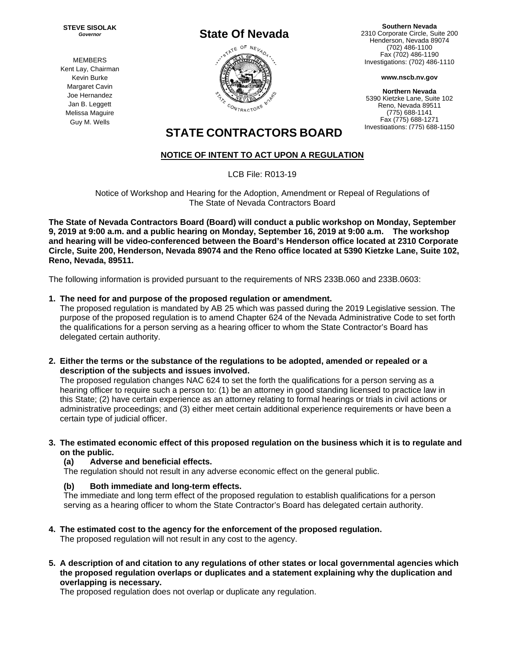**STEVE SISOLAK**  *Governor* 



**Southern Nevada**  2310 Corporate Circle, Suite 200 Henderson, Nevada 89074 (702) 486-1100 Fax (702) 486-1190 Investigations: (702) 486-1110

**www.nscb.nv.gov**

**Northern Nevada**  5390 Kietzke Lane, Suite 102 Reno, Nevada 89511 (775) 688-1141 Fax (775) 688-1271 Investigations: (775) 688-1150

# **STATE CONTRACTORS BOARD**

# **NOTICE OF INTENT TO ACT UPON A REGULATION**

LCB File: R013-19

Notice of Workshop and Hearing for the Adoption, Amendment or Repeal of Regulations of The State of Nevada Contractors Board

**The State of Nevada Contractors Board (Board) will conduct a public workshop on Monday, September 9, 2019 at 9:00 a.m. and a public hearing on Monday, September 16, 2019 at 9:00 a.m. The workshop and hearing will be video-conferenced between the Board's Henderson office located at 2310 Corporate Circle, Suite 200, Henderson, Nevada 89074 and the Reno office located at 5390 Kietzke Lane, Suite 102, Reno, Nevada, 89511.** 

The following information is provided pursuant to the requirements of NRS 233B.060 and 233B.0603:

# **1. The need for and purpose of the proposed regulation or amendment.**

The proposed regulation is mandated by AB 25 which was passed during the 2019 Legislative session. The purpose of the proposed regulation is to amend Chapter 624 of the Nevada Administrative Code to set forth the qualifications for a person serving as a hearing officer to whom the State Contractor's Board has delegated certain authority.

**2. Either the terms or the substance of the regulations to be adopted, amended or repealed or a description of the subjects and issues involved.** 

The proposed regulation changes NAC 624 to set the forth the qualifications for a person serving as a hearing officer to require such a person to: (1) be an attorney in good standing licensed to practice law in this State; (2) have certain experience as an attorney relating to formal hearings or trials in civil actions or administrative proceedings; and (3) either meet certain additional experience requirements or have been a certain type of judicial officer.

#### **3. The estimated economic effect of this proposed regulation on the business which it is to regulate and on the public.**

# **(a) Adverse and beneficial effects.**

The regulation should not result in any adverse economic effect on the general public.

# **(b) Both immediate and long-term effects.**

The immediate and long term effect of the proposed regulation to establish qualifications for a person serving as a hearing officer to whom the State Contractor's Board has delegated certain authority.

**4. The estimated cost to the agency for the enforcement of the proposed regulation.** 

The proposed regulation will not result in any cost to the agency.

**5. A description of and citation to any regulations of other states or local governmental agencies which the proposed regulation overlaps or duplicates and a statement explaining why the duplication and overlapping is necessary.** 

The proposed regulation does not overlap or duplicate any regulation.

MEMBERS Kent Lay, Chairman Kevin Burke Margaret Cavin Joe Hernandez Jan B. Leggett Melissa Maguire Guy M. Wells